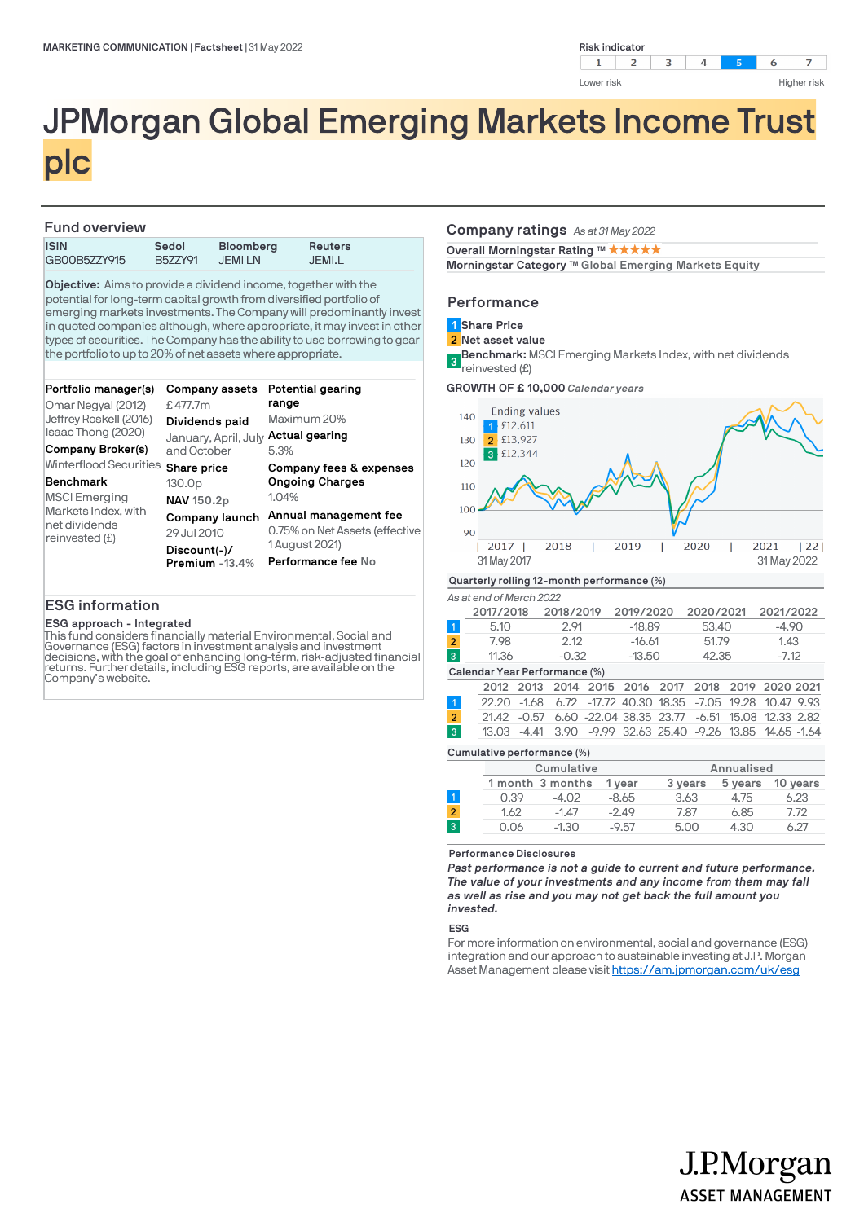

# JPMorgan Global Emerging Markets Income Trust plc

## **Fund overview**

| .            |         |                  |         |  |  |  |  |
|--------------|---------|------------------|---------|--|--|--|--|
| <b>ISIN</b>  | Sedol   | <b>Bloomberg</b> | Reuters |  |  |  |  |
| GB00B5ZZY915 | B577Y91 | JEMI LN          | JEMI.L  |  |  |  |  |

**Objective:** Aims to provide a dividend income, together with the potential for long-term capital growth from diversified portfolio of emerging markets investments. The Company will predominantly invest in quoted companies although, where appropriate, it may invest in other types of securities. The Company has the ability to use borrowing to gear the portfolio to up to 20% of net assets where appropriate.

| Portfolio manager(s)<br>Omar Negyal (2012)<br>Jeffrey Roskell (2016)<br>Isaac Thong (2020)<br>Company Broker(s) | Company assets<br>£477.7m<br>Dividends paid<br>January, April, July Actual gearing<br>and October | Potential gearing<br>range<br>Maximum 20%<br>5.3%                                                        |
|-----------------------------------------------------------------------------------------------------------------|---------------------------------------------------------------------------------------------------|----------------------------------------------------------------------------------------------------------|
| Winterflood Securities<br><b>Benchmark</b>                                                                      | Share price<br>130.0 <sub>p</sub>                                                                 | Company fees & expenses<br><b>Ongoing Charges</b>                                                        |
| <b>MSCI Emerging</b><br>Markets Index, with<br>net dividends<br>reinvested (£)                                  | NAV 150.2p<br>Company launch<br>29 Jul 2010<br>$Discount(-)/$<br>Premium -13.4%                   | 1.04%<br>Annual management fee<br>0.75% on Net Assets (effective<br>1 August 2021)<br>Performance fee No |

## **ESG information**

## **ESG approach - Integrated**

This fund considers financially material Environmental, Social and Governance (ESG) factors in investment analysis and investment decisions, with the goal of enhancing long-term, risk-adjusted financial returns. Further details, including ESG reports, are available on the Company's website.

## **Company ratings** *As at 31 May 2022*

**Overall Morningstar Rating ™ ★ ★ ★ ★ ★** 

Morningstar Category ™ Global Emerging Markets Equity

## **Performance**

- **Share Price 1**
- **Net asset value 2**
- **Benchmark:** MSCI Emerging Markets Index, with net dividends reinvested (£) **3**

**GROWTH OF £ 10,000** *Calendar years*



## *As at end of March 2022*

|                | 2017/2018 | 2018/2019 | 2019/2020 | 2020/2021 | 2021/2022 |
|----------------|-----------|-----------|-----------|-----------|-----------|
|                | 5.10      | 2.91      | $-18.89$  | 53.40     | -4.90     |
| $\overline{2}$ | 7.98      | 2.12      | $-16.61$  | 51.79     | 1.43      |
| (3)            | 11.36     | $-0.32$   | $-13.50$  | 42.35     | $-7.12$   |

#### **Calendar Year Performance (%)**

|  |  |  |  |  | 2012 2013 2014 2015 2016 2017 2018 2019 2020 2021          |
|--|--|--|--|--|------------------------------------------------------------|
|  |  |  |  |  | 22.20 -1.68 6.72 -17.72 40.30 18.35 -7.05 19.28 10.47 9.93 |
|  |  |  |  |  | 21.42 -0.57 6.60 -22.04 38.35 23.77 -6.51 15.08 12.33 2.82 |
|  |  |  |  |  | 13.03 -4.41 3.90 -9.99 32.63 25.40 -9.26 13.85 14.65 -1.64 |
|  |  |  |  |  |                                                            |

#### **Cumulative performance (%)**

|                |      | Cumulative       |         |         | Annualised |          |
|----------------|------|------------------|---------|---------|------------|----------|
|                |      | 1 month 3 months | 1 vear  | 3 years | 5 years    | 10 years |
|                | 0.39 | $-4.02$          | $-8.65$ | 3.63    | 4.75       | 6.23     |
| $\overline{2}$ | 1.62 | $-1.47$          | $-2.49$ | 7.87    | 6.85       | 7.72     |
| 3              | 0.06 | $-1.30$          | $-9.57$ | 5.00    | 4.30       | 6.27     |
|                |      |                  |         |         |            |          |

#### **Performance Disclosures**

*Past performance is not a guide to current and future performance. The value of your investments and any income from them may fall as well as rise and you may not get back the full amount you invested.* 

## **ESG**

For more information on environmental, social and governance (ESG) integration and our approach to sustainable investing at J.P. Morgan Asset Management please visit https://am.jpmorgan.com/uk/esg

J.P.Morgan

**ASSET MANAGEMENT**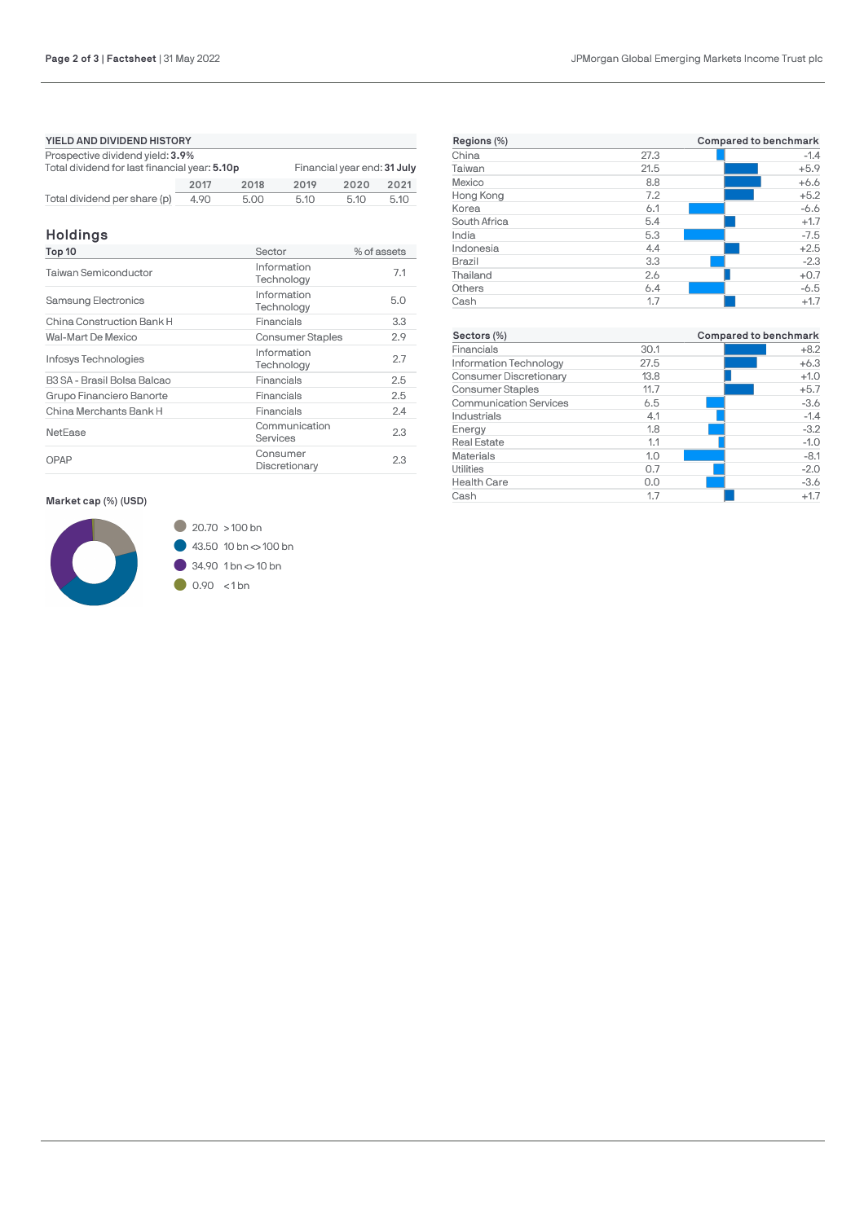| YIELD AND DIVIDEND HISTORY                                                                                       |      |      |      |      |      |  |
|------------------------------------------------------------------------------------------------------------------|------|------|------|------|------|--|
| Prospective dividend yield: 3.9%<br>Total dividend for last financial year: 5.10p<br>Financial year end: 31 July |      |      |      |      |      |  |
|                                                                                                                  | 2017 | 2018 | 2019 | 2020 | 2021 |  |
| Total dividend per share (p)                                                                                     | 4.90 | 5.00 | 5.10 | 5.10 | 5.10 |  |

## **Holdings**

| Top 10                      | Sector                    | % of assets |
|-----------------------------|---------------------------|-------------|
| Taiwan Semiconductor        | Information<br>Technology | 7.1         |
| <b>Samsung Electronics</b>  | Information<br>Technology | 5.0         |
| China Construction Bank H   | Financials                | 3.3         |
| Wal-Mart De Mexico          | <b>Consumer Staples</b>   | 2.9         |
| Infosys Technologies        | Information<br>Technology | 2.7         |
| B3 SA - Brasil Bolsa Balcao | Financials                | 2.5         |
| Grupo Financiero Banorte    | Financials                | 2.5         |
| China Merchants Bank H      | Financials                | 2.4         |
| <b>NetEase</b>              | Communication<br>Services | 2.3         |
| OPAP                        | Consumer<br>Discretionary | 2.3         |

## **Market cap (%) (USD)**



| Regions (%)                   |      | <b>Compared to benchmark</b> |
|-------------------------------|------|------------------------------|
| China                         | 27.3 | $-1.4$                       |
| Taiwan                        | 21.5 | $+5.9$                       |
| Mexico                        | 8.8  | $+6.6$                       |
| Hong Kong                     | 7.2  | $+5.2$                       |
| Korea                         | 6.1  | $-6.6$                       |
| South Africa                  | 5.4  | $+1.7$                       |
| India                         | 5.3  | $-7.5$                       |
| Indonesia                     | 4.4  | $+2.5$                       |
| <b>Brazil</b>                 | 3.3  | $-2.3$                       |
| Thailand                      | 2.6  | $+0.7$                       |
| Others                        | 6.4  | $-6.5$                       |
| Cash                          | 1.7  | $+1.7$                       |
|                               |      |                              |
| Sectors (%)                   |      | <b>Compared to benchmark</b> |
| Financials                    | 30.1 | $+8.2$                       |
| Information Technology        | 27.5 | $+6.3$                       |
| Consumer Discretionary        | 13.8 | $+1.0$                       |
| <b>Consumer Staples</b>       | 11.7 | $+5.7$                       |
| <b>Communication Services</b> | 6.5  | $-3.6$                       |
| Industrials                   | 4.1  | $-1.4$                       |
| Energy                        | 1.8  | $-3.2$                       |
| <b>Real Estate</b>            | 1.1  | $-1.0$                       |
| <b>Materials</b>              | 1.0  | $-8.1$                       |
| Utilities                     | 0.7  | $-2.0$                       |
| <b>Health Care</b>            | 0.0  | $-3.6$                       |
| Cash                          | 1.7  | $+1.7$                       |